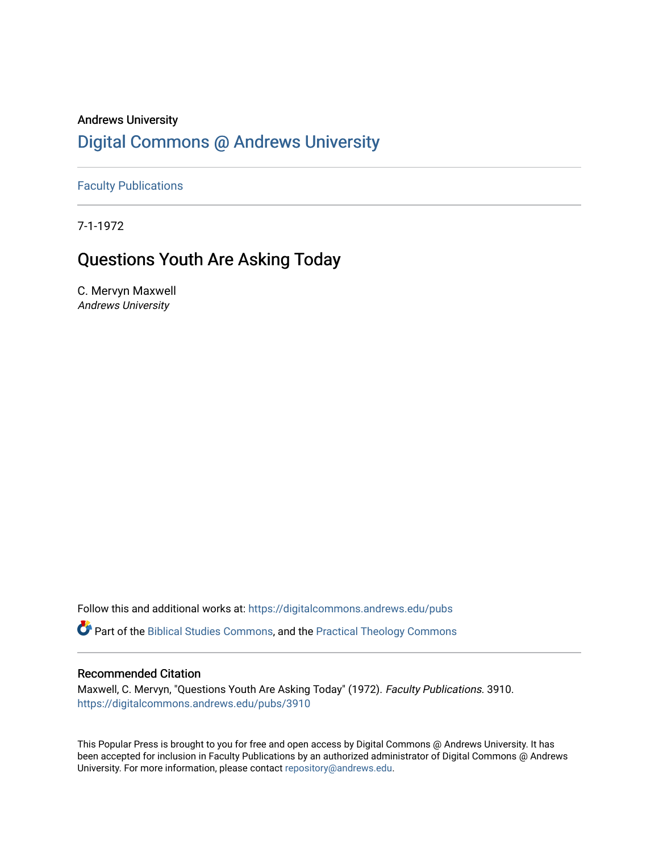## Andrews University [Digital Commons @ Andrews University](https://digitalcommons.andrews.edu/)

[Faculty Publications](https://digitalcommons.andrews.edu/pubs)

7-1-1972

## Questions Youth Are Asking Today

C. Mervyn Maxwell Andrews University

Follow this and additional works at: [https://digitalcommons.andrews.edu/pubs](https://digitalcommons.andrews.edu/pubs?utm_source=digitalcommons.andrews.edu%2Fpubs%2F3910&utm_medium=PDF&utm_campaign=PDFCoverPages) 

Part of the [Biblical Studies Commons,](http://network.bepress.com/hgg/discipline/539?utm_source=digitalcommons.andrews.edu%2Fpubs%2F3910&utm_medium=PDF&utm_campaign=PDFCoverPages) and the [Practical Theology Commons](http://network.bepress.com/hgg/discipline/1186?utm_source=digitalcommons.andrews.edu%2Fpubs%2F3910&utm_medium=PDF&utm_campaign=PDFCoverPages) 

### Recommended Citation

Maxwell, C. Mervyn, "Questions Youth Are Asking Today" (1972). Faculty Publications. 3910. [https://digitalcommons.andrews.edu/pubs/3910](https://digitalcommons.andrews.edu/pubs/3910?utm_source=digitalcommons.andrews.edu%2Fpubs%2F3910&utm_medium=PDF&utm_campaign=PDFCoverPages) 

This Popular Press is brought to you for free and open access by Digital Commons @ Andrews University. It has been accepted for inclusion in Faculty Publications by an authorized administrator of Digital Commons @ Andrews University. For more information, please contact [repository@andrews.edu](mailto:repository@andrews.edu).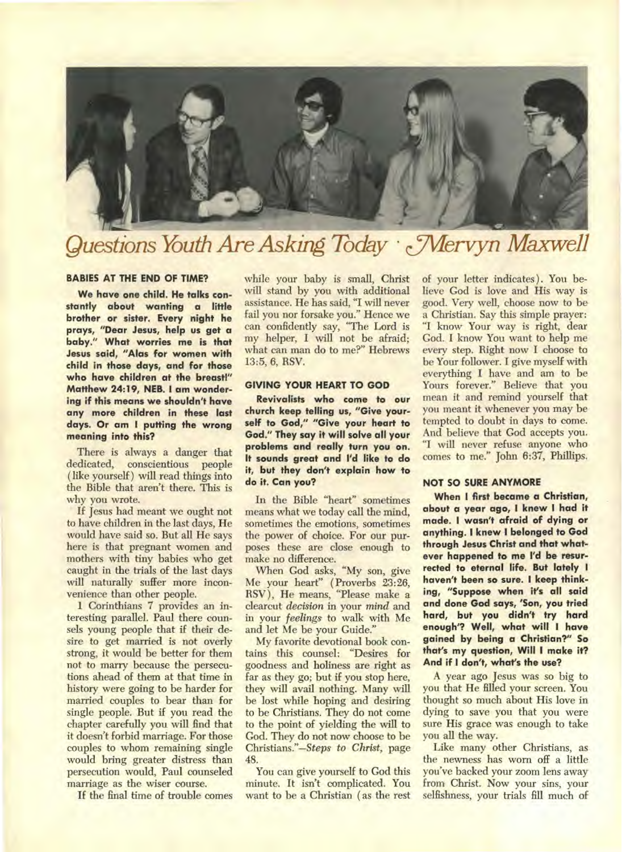

# *Questions Youth Are Asking Today • Mervyn Maxwell*

#### **BABIES AT THE END OF TIME?**

**We have one child. He talks constantly about wanting a little brother or sister. Every night he prays, "Dear Jesus, help us get a baby." What worries me is that Jesus said, "Alas for women with child in those days, and for those who have children at the breast!" Matthew 24:19, NEB. 1 am wondering if this means we shouldn't have any more children in these last days. Or am I putting the wrong meaning into this?** 

There is always a danger that dedicated, conscientious people ( like yourself) will read things into the Bible that aren't there. This is why you wrote.

If Jesus had meant we ought not to have children in the last days, He would have said so. But all He says here is that pregnant women and mothers with tiny babies who get caught in the trials of the last days will naturally suffer more inconvenience than other people.

1 Corinthians 7 provides an interesting parallel. Paul there counsels young people that if their desire to get married is not overly strong, it would be better for them not to marry because the persecutions ahead of them at that time in history were going to be harder for married couples to bear than for single people. But if you read the chapter carefully you will find that it doesn't forbid marriage. For those couples to whom remaining single would bring greater distress than persecution would, Paul counseled marriage as the wiser course.

If the final time of trouble comes

while your baby is small, Christ will stand by you with additional assistance. He has said, "I will never fail you nor forsake you." Hence we can confidently say, "The Lord is my helper, I will not be afraid; what can man do to me?" Hebrews 13:5, 6, RSV.

#### **GIVING YOUR HEART TO GOD**

**Revivalists who come to our church keep telling us, "Give yourself to God," "Give your heart to God." They say it will solve all your problems and really turn you on. It sounds great and I'd like to do it, but they don't explain how to do it. Can you?** 

In the Bible "heart" sometimes means what we today call the mind, sometimes the emotions, sometimes the power of choice. For our purposes these are close enough to make no difference.

When God asks, "My son, give Me your heart" ( Proverbs 23:26, RSV), He means, "Please make a clearcut *decision* in your *mind* and in your *feelings* to walk with Me and let Me be your Guide."

My favorite devotional book contains this counsel: "Desires for goodness and holiness are right as far as they go; but if you stop here, they will avail nothing. Many will be lost while hoping and desiring to be Christians. They do not come to the point of yielding the will to God. They do not now choose to be Christians."—Steps *to Christ,* page 48.

You can give yourself to God this minute. It isn't complicated. You want to be a Christian ( as the rest of your letter indicates ). You believe God is love and His way is good. Very well, choose now to be a Christian. Say this simple prayer: "I know Your way is right, dear God. I know You want to help me every step. Right now I choose to be Your follower. I give myself with everything I have and am to be Yours forever." Believe that you mean it and remind yourself that you meant it whenever you may be tempted to doubt in days to come. And believe that God accepts you. "I will never refuse anyone who comes to me." John 6:37, Phillips.

#### **NOT SO SURE ANYMORE**

**When I first became a Christian, about a year ago, I knew I had it made. I wasn't afraid of dying or anything. I knew I belonged to God through Jesus Christ and that whatever happened to me I'd be resurrected to eternal life. But lately I haven't been so sure. I keep thinking, "Suppose when it's all said and done God says, 'Son, you tried hard, but you didn't try hard enough'? Well, what will I have gained by being a Christian?" So that's my question, Will I make it? And if I don't, what's the use?** 

A year ago Jesus was so big to you that He filled your screen. You thought so much about His love in dying to save you that you were sure His grace was enough to take you all the way.

Like many other Christians, as the newness has worn off a little you've backed your zoom lens away from Christ. Now your sins, your selfishness, your trials fill much of